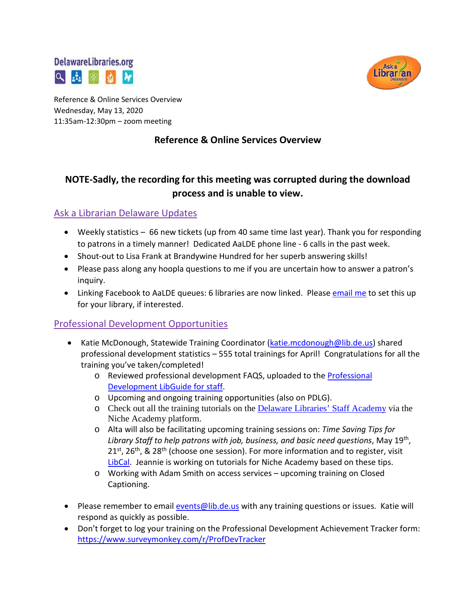



Reference & Online Services Overview Wednesday, May 13, 2020 11:35am-12:30pm – zoom meeting

## **Reference & Online Services Overview**

# **NOTE-Sadly, the recording for this meeting was corrupted during the download process and is unable to view.**

## Ask a Librarian Delaware Updates

- Weekly statistics 66 new tickets (up from 40 same time last year). Thank you for responding to patrons in a timely manner! Dedicated AaLDE phone line - 6 calls in the past week.
- Shout-out to Lisa Frank at Brandywine Hundred for her superb answering skills!
- Please pass along any hoopla questions to me if you are uncertain how to answer a patron's inquiry.
- Linking Facebook to AaLDE queues: 6 libraries are now linked. Pleas[e email](mailto:missy.williams@lib.de.us) me to set this up for your library, if interested.

## Professional Development Opportunities

- Katie McDonough, Statewide Training Coordinator [\(katie.mcdonough@lib.de.us\)](mailto:katie.mcdonough@lib.de.us) shared professional development statistics – 555 total trainings for April! Congratulations for all the training you've taken/completed!
	- o Reviewed professional development FAQS, uploaded to the [Professional](https://guides.lib.de.us/c.php?g=386101&p=2619930)  [Development LibGuide for staff.](https://guides.lib.de.us/c.php?g=386101&p=2619930)
	- o Upcoming and ongoing training opportunities (also on PDLG).
	- o Check out all the training tutorials on the [Delaware Libraries' Staff Academy](https://my.nicheacademy.com/delawarelibrariesstaffacademy) via the Niche Academy platform.
	- o Alta will also be facilitating upcoming training sessions on: *Time Saving Tips for Library Staff to help patrons with job, business, and basic need questions*, May 19th,  $21<sup>st</sup>$ ,  $26<sup>th</sup>$ , &  $28<sup>th</sup>$  (choose one session). For more information and to register, visit [LibCal.](https://delawarelibraries.libcal.com/calendar/DDL/?cid=9368&t=g&d=0000-00-00&cal=9368) Jeannie is working on tutorials for Niche Academy based on these tips.
	- o Working with Adam Smith on access services upcoming training on Closed Captioning.
- Please remember to email [events@lib.de.us](mailto:events@lib.de.us) with any training questions or issues. Katie will respond as quickly as possible.
- Don't forget to log your training on the Professional Development Achievement Tracker form: <https://www.surveymonkey.com/r/ProfDevTracker>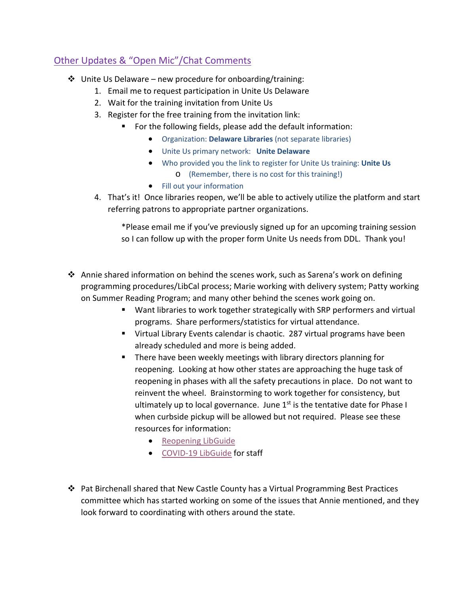# Other Updates & "Open Mic"/Chat Comments

- $\cdot$  Unite Us Delaware new procedure for onboarding/training:
	- 1. Email me to request participation in Unite Us Delaware
	- 2. Wait for the training invitation from Unite Us
	- 3. Register for the free training from the invitation link:
		- For the following fields, please add the default information:
			- Organization: **Delaware Libraries** (not separate libraries)
			- Unite Us primary network: **Unite Delaware**
			- Who provided you the link to register for Unite Us training: **Unite Us** o (Remember, there is no cost for this training!)
			- Fill out your information
	- 4. That's it! Once libraries reopen, we'll be able to actively utilize the platform and start referring patrons to appropriate partner organizations.

\*Please email me if you've previously signed up for an upcoming training session so I can follow up with the proper form Unite Us needs from DDL. Thank you!

- Annie shared information on behind the scenes work, such as Sarena's work on defining programming procedures/LibCal process; Marie working with delivery system; Patty working on Summer Reading Program; and many other behind the scenes work going on.
	- Want libraries to work together strategically with SRP performers and virtual programs. Share performers/statistics for virtual attendance.
	- Virtual Library Events calendar is chaotic. 287 virtual programs have been already scheduled and more is being added.
	- **There have been weekly meetings with library directors planning for** reopening. Looking at how other states are approaching the huge task of reopening in phases with all the safety precautions in place. Do not want to reinvent the wheel. Brainstorming to work together for consistency, but ultimately up to local governance. June  $1<sup>st</sup>$  is the tentative date for Phase I when curbside pickup will be allowed but not required. Please see these resources for information:
		- [Reopening LibGuide](https://guides.lib.de.us/delibraries/COVID-19/reopening)
		- [COVID-19 LibGuide](https://guides.lib.de.us/delibraries/COVID-19) for staff
- $\clubsuit$  Pat Birchenall shared that New Castle County has a Virtual Programming Best Practices committee which has started working on some of the issues that Annie mentioned, and they look forward to coordinating with others around the state.